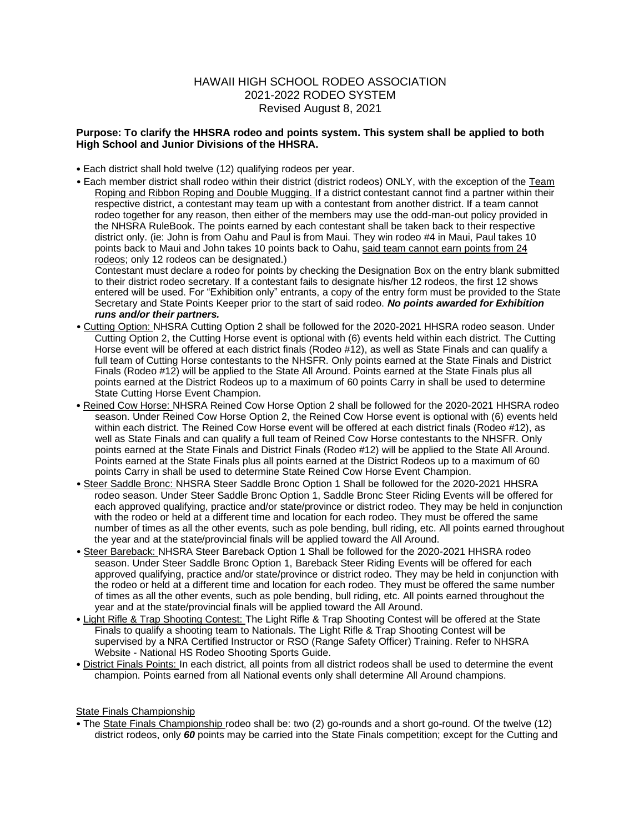## HAWAII HIGH SCHOOL RODEO ASSOCIATION 2021-2022 RODEO SYSTEM Revised August 8, 2021

## **Purpose: To clarify the HHSRA rodeo and points system. This system shall be applied to both High School and Junior Divisions of the HHSRA.**

- Each district shall hold twelve (12) qualifying rodeos per year.
- Each member district shall rodeo within their district (district rodeos) ONLY, with the exception of the Team Roping and Ribbon Roping and Double Mugging. If a district contestant cannot find a partner within their respective district, a contestant may team up with a contestant from another district. If a team cannot rodeo together for any reason, then either of the members may use the odd-man-out policy provided in the NHSRA RuleBook. The points earned by each contestant shall be taken back to their respective district only. (ie: John is from Oahu and Paul is from Maui. They win rodeo #4 in Maui, Paul takes 10 points back to Maui and John takes 10 points back to Oahu, said team cannot earn points from 24 rodeos; only 12 rodeos can be designated.)

Contestant must declare a rodeo for points by checking the Designation Box on the entry blank submitted to their district rodeo secretary. If a contestant fails to designate his/her 12 rodeos, the first 12 shows entered will be used. For "Exhibition only" entrants, a copy of the entry form must be provided to the State Secretary and State Points Keeper prior to the start of said rodeo. *No points awarded for Exhibition runs and/or their partners.* 

- Cutting Option: NHSRA Cutting Option 2 shall be followed for the 2020-2021 HHSRA rodeo season. Under Cutting Option 2, the Cutting Horse event is optional with (6) events held within each district. The Cutting Horse event will be offered at each district finals (Rodeo #12), as well as State Finals and can qualify a full team of Cutting Horse contestants to the NHSFR. Only points earned at the State Finals and District Finals (Rodeo #12) will be applied to the State All Around. Points earned at the State Finals plus all points earned at the District Rodeos up to a maximum of 60 points Carry in shall be used to determine State Cutting Horse Event Champion.
- Reined Cow Horse: NHSRA Reined Cow Horse Option 2 shall be followed for the 2020-2021 HHSRA rodeo season. Under Reined Cow Horse Option 2, the Reined Cow Horse event is optional with (6) events held within each district. The Reined Cow Horse event will be offered at each district finals (Rodeo #12), as well as State Finals and can qualify a full team of Reined Cow Horse contestants to the NHSFR. Only points earned at the State Finals and District Finals (Rodeo #12) will be applied to the State All Around. Points earned at the State Finals plus all points earned at the District Rodeos up to a maximum of 60 points Carry in shall be used to determine State Reined Cow Horse Event Champion.
- Steer Saddle Bronc: NHSRA Steer Saddle Bronc Option 1 Shall be followed for the 2020-2021 HHSRA rodeo season. Under Steer Saddle Bronc Option 1, Saddle Bronc Steer Riding Events will be offered for each approved qualifying, practice and/or state/province or district rodeo. They may be held in conjunction with the rodeo or held at a different time and location for each rodeo. They must be offered the same number of times as all the other events, such as pole bending, bull riding, etc. All points earned throughout the year and at the state/provincial finals will be applied toward the All Around.
- Steer Bareback: NHSRA Steer Bareback Option 1 Shall be followed for the 2020-2021 HHSRA rodeo season. Under Steer Saddle Bronc Option 1, Bareback Steer Riding Events will be offered for each approved qualifying, practice and/or state/province or district rodeo. They may be held in conjunction with the rodeo or held at a different time and location for each rodeo. They must be offered the same number of times as all the other events, such as pole bending, bull riding, etc. All points earned throughout the year and at the state/provincial finals will be applied toward the All Around.
- Light Rifle & Trap Shooting Contest: The Light Rifle & Trap Shooting Contest will be offered at the State Finals to qualify a shooting team to Nationals. The Light Rifle & Trap Shooting Contest will be supervised by a NRA Certified Instructor or RSO (Range Safety Officer) Training. Refer to NHSRA Website - National HS Rodeo Shooting Sports Guide.
- District Finals Points: In each district, all points from all district rodeos shall be used to determine the event champion. Points earned from all National events only shall determine All Around champions.

## State Finals Championship

• The State Finals Championship rodeo shall be: two (2) go-rounds and a short go-round. Of the twelve (12) district rodeos, only *60* points may be carried into the State Finals competition; except for the Cutting and